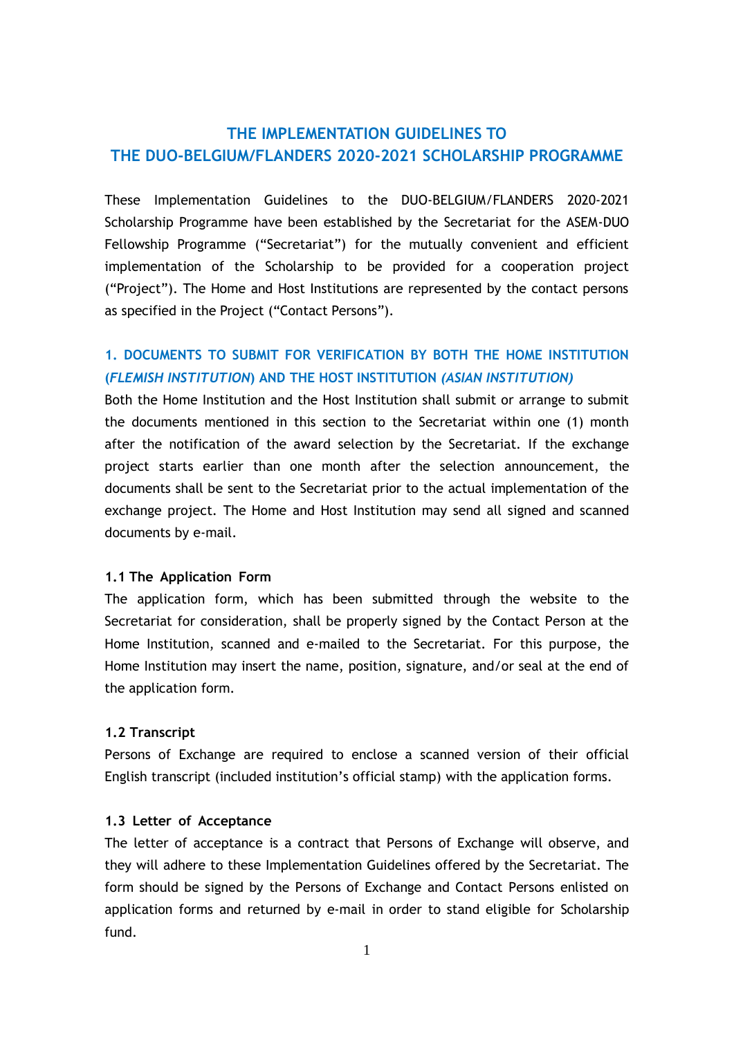# **THE IMPLEMENTATION GUIDELINES TO THE DUO-BELGIUM/FLANDERS 2020-2021 SCHOLARSHIP PROGRAMME**

These Implementation Guidelines to the DUO-BELGIUM/FLANDERS 2020-2021 Scholarship Programme have been established by the Secretariat for the ASEM-DUO Fellowship Programme ("Secretariat") for the mutually convenient and efficient implementation of the Scholarship to be provided for a cooperation project ("Project"). The Home and Host Institutions are represented by the contact persons as specified in the Project ("Contact Persons").

## **1. DOCUMENTS TO SUBMIT FOR VERIFICATION BY BOTH THE HOME INSTITUTION (***FLEMISH INSTITUTION***) AND THE HOST INSTITUTION** *(ASIAN INSTITUTION)*

Both the Home Institution and the Host Institution shall submit or arrange to submit the documents mentioned in this section to the Secretariat within one (1) month after the notification of the award selection by the Secretariat. If the exchange project starts earlier than one month after the selection announcement, the documents shall be sent to the Secretariat prior to the actual implementation of the exchange project. The Home and Host Institution may send all signed and scanned documents by e-mail.

#### **1.1 The Application Form**

The application form, which has been submitted through the website to the Secretariat for consideration, shall be properly signed by the Contact Person at the Home Institution, scanned and e-mailed to the Secretariat. For this purpose, the Home Institution may insert the name, position, signature, and/or seal at the end of the application form.

#### **1.2 Transcript**

Persons of Exchange are required to enclose a scanned version of their official English transcript (included institution's official stamp) with the application forms.

#### **1.3 Letter of Acceptance**

The letter of acceptance is a contract that Persons of Exchange will observe, and they will adhere to these Implementation Guidelines offered by the Secretariat. The form should be signed by the Persons of Exchange and Contact Persons enlisted on application forms and returned by e-mail in order to stand eligible for Scholarship fund.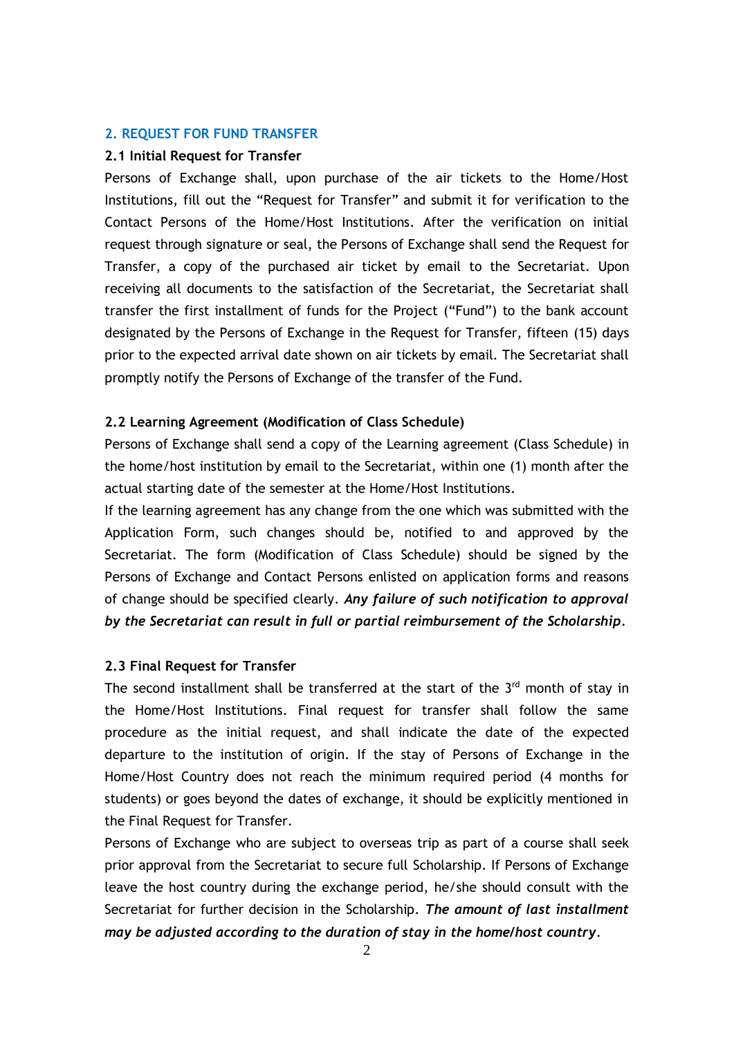#### **2. REQUEST FOR FUND TRANSFER**

#### **2.1 Initial Request for Transfer**

Persons of Exchange shall, upon purchase of the air tickets to the Home/Host Institutions, fill out the "Request for Transfer" and submit it for verification to the Contact Persons of the Home/Host Institutions. After the verification on initial request through signature or seal, the Persons of Exchange shall send the Request for Transfer, a copy of the purchased air ticket by email to the Secretariat. Upon receiving all documents to the satisfaction of the Secretariat, the Secretariat shall transfer the first installment of funds for the Project ("Fund") to the bank account designated by the Persons of Exchange in the Request for Transfer, fifteen (15) days prior to the expected arrival date shown on air tickets by email. The Secretariat shall promptly notify the Persons of Exchange of the transfer of the Fund.

#### **2.2 Learning Agreement (Modification of Class Schedule)**

Persons of Exchange shall send a copy of the Learning agreement (Class Schedule) in the home/host institution by email to the Secretariat, within one (1) month after the actual starting date of the semester at the Home/Host Institutions.

If the learning agreement has any change from the one which was submitted with the Application Form, such changes should be, notified to and approved by the Secretariat. The form (Modification of Class Schedule) should be signed by the Persons of Exchange and Contact Persons enlisted on application forms and reasons of change should be specified clearly. *Any failure of such notification to approval by the Secretariat can result in full or partial reimbursement of the Scholarship.*

#### **2.3 Final Request for Transfer**

The second installment shall be transferred at the start of the  $3<sup>rd</sup>$  month of stay in the Home/Host Institutions. Final request for transfer shall follow the same procedure as the initial request, and shall indicate the date of the expected departure to the institution of origin. If the stay of Persons of Exchange in the Home/Host Country does not reach the minimum required period (4 months for students) or goes beyond the dates of exchange, it should be explicitly mentioned in the Final Request for Transfer.

Persons of Exchange who are subject to overseas trip as part of a course shall seek prior approval from the Secretariat to secure full Scholarship. If Persons of Exchange leave the host country during the exchange period, he/she should consult with the Secretariat for further decision in the Scholarship. *The amount of last installment may be adjusted according to the duration of stay in the home/host country*.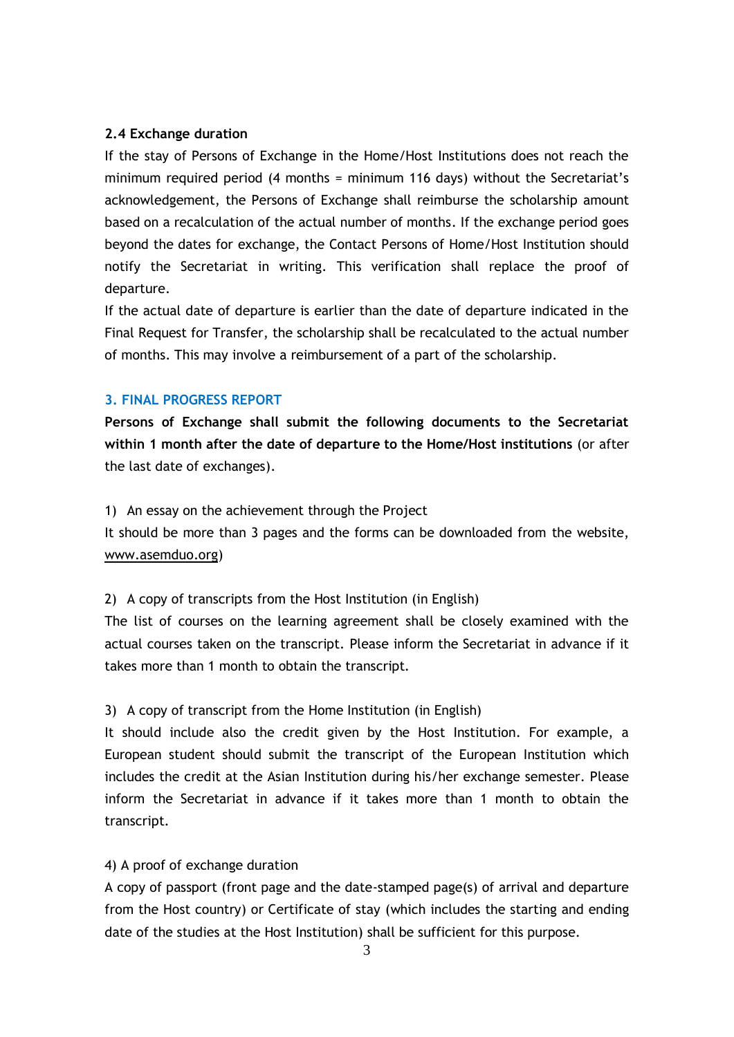## **2.4 Exchange duration**

If the stay of Persons of Exchange in the Home/Host Institutions does not reach the minimum required period (4 months = minimum 116 days) without the Secretariat's acknowledgement, the Persons of Exchange shall reimburse the scholarship amount based on a recalculation of the actual number of months. If the exchange period goes beyond the dates for exchange, the Contact Persons of Home/Host Institution should notify the Secretariat in writing. This verification shall replace the proof of departure.

If the actual date of departure is earlier than the date of departure indicated in the Final Request for Transfer, the scholarship shall be recalculated to the actual number of months. This may involve a reimbursement of a part of the scholarship.

## **3. FINAL PROGRESS REPORT**

**Persons of Exchange shall submit the following documents to the Secretariat within 1 month after the date of departure to the Home/Host institutions** (or after the last date of exchanges).

#### 1) An essay on the achievement through the Project

It should be more than 3 pages and the forms can be downloaded from the website, [www.asemduo.org\)](http://www.asemduo.org/)

#### 2) A copy of transcripts from the Host Institution (in English)

The list of courses on the learning agreement shall be closely examined with the actual courses taken on the transcript. Please inform the Secretariat in advance if it takes more than 1 month to obtain the transcript.

## 3) A copy of transcript from the Home Institution (in English)

It should include also the credit given by the Host Institution. For example, a European student should submit the transcript of the European Institution which includes the credit at the Asian Institution during his/her exchange semester. Please inform the Secretariat in advance if it takes more than 1 month to obtain the transcript.

#### 4) A proof of exchange duration

A copy of passport (front page and the date-stamped page(s) of arrival and departure from the Host country) or Certificate of stay (which includes the starting and ending date of the studies at the Host Institution) shall be sufficient for this purpose.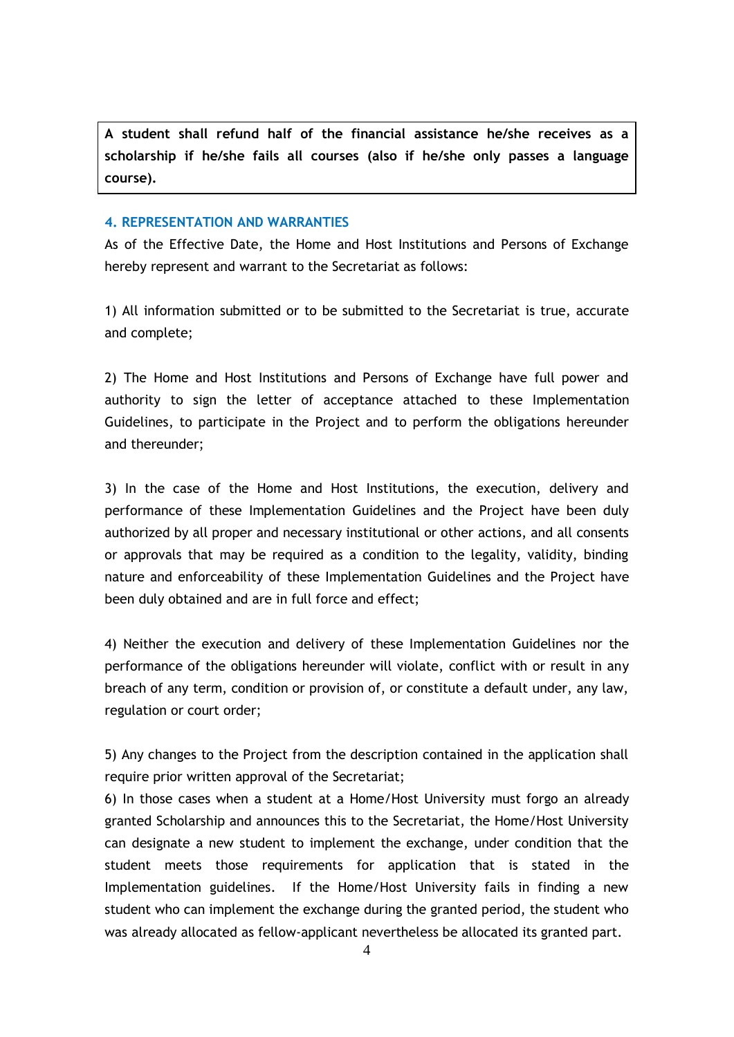**A student shall refund half of the financial assistance he/she receives as a scholarship if he/she fails all courses (also if he/she only passes a language course).**

#### **4. REPRESENTATION AND WARRANTIES**

As of the Effective Date, the Home and Host Institutions and Persons of Exchange hereby represent and warrant to the Secretariat as follows:

1) All information submitted or to be submitted to the Secretariat is true, accurate and complete;

2) The Home and Host Institutions and Persons of Exchange have full power and authority to sign the letter of acceptance attached to these Implementation Guidelines, to participate in the Project and to perform the obligations hereunder and thereunder;

3) In the case of the Home and Host Institutions, the execution, delivery and performance of these Implementation Guidelines and the Project have been duly authorized by all proper and necessary institutional or other actions, and all consents or approvals that may be required as a condition to the legality, validity, binding nature and enforceability of these Implementation Guidelines and the Project have been duly obtained and are in full force and effect;

4) Neither the execution and delivery of these Implementation Guidelines nor the performance of the obligations hereunder will violate, conflict with or result in any breach of any term, condition or provision of, or constitute a default under, any law, regulation or court order;

5) Any changes to the Project from the description contained in the application shall require prior written approval of the Secretariat;

6) In those cases when a student at a Home/Host University must forgo an already granted Scholarship and announces this to the Secretariat, the Home/Host University can designate a new student to implement the exchange, under condition that the student meets those requirements for application that is stated in the Implementation guidelines. If the Home/Host University fails in finding a new student who can implement the exchange during the granted period, the student who was already allocated as fellow-applicant nevertheless be allocated its granted part.